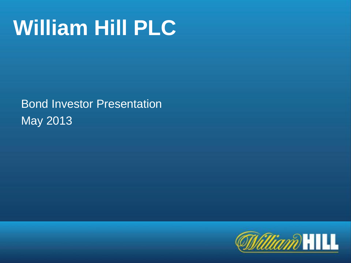# **William Hill PLC**

Bond Investor Presentation May 2013

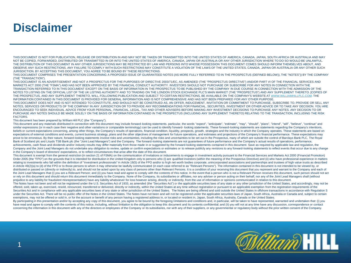### **Disclaimer**

THIS DOCUMENT IS NOT FOR PUBLICATION, RELEASE OR DISTRIBUTION IN AND MAY NOT BE TAKEN OR TRANSMITTED INTO THE UNITED STATES OF AMERICA, CANADA, JAPAN, SOUTH AFRICA OR AUSTRALIA AND MAY NOT BE COPIED, FORWARDED, DISTRIBUTED OR TRANSMITTED IN OR INTO THE UNITED STATES OF AMERICA, CANADA, JAPAN OR AUSTRALIA OR ANY OTHER JURISDICTION WHERE TO DO SO WOULD BE UNLAWFUL. THE DISTRIBUTION OF THIS DOCUMENT IN ANY OTHER JURISDICTIONS MAY BE RESTRICTED BY LAW AND PERSONS INTO WHOSE POSSESSION THIS DOCUMENT COMES SHOULD INFORM THEMSELVES ABOUT, AND OBSERVE ANY SUCH RESTRICTIONS. ANY FAILURE TO COMPLY WITH SUCH RESTRICTIONS MAY CONSTITUTE A VIOLATION OF THE LAWS OF THE UNITED STATES, CANADA, JAPAN OR AUSTRALIA OR ANY OTHER SUCH JURISDICTION. BY ACCEPTING THIS DOCUMENT, YOU AGREE TO BE BOUND BY THESE RESTRICTIONS.

THIS DOCUMENT COMPRISES THE PRESENTATION CONCERNING A PROPOSED ISSUE OF GUARANTEED NOTES (AS MORE FULLY REFERRED TO IN THE PROSPECTUS (DEFINED BELOW)), THE "NOTES")) BY THE COMPANY (THE "TRANSACTION").

THIS DOCUMENT IS AN ADVERTISEMENT AND NOT A PROSPECTUS FOR THE PURPOSES OF DIRECTIVE 2003/71/EC, AS AMENDED (THE "PROSPECTUS DIRECTIVE") AND/OR PART VI OF THE FINANCIAL SERVICES AND MARKETS ACT 2000 (THE "FSMA") AND HAS NOT BEEN APPROVED BY THE FINANCIAL CONDUCT AUTHORITY. INVESTORS SHOULD NOT PURCHASE OR SUBSCRIBE FOR ANY NOTES IN CONNECTION WITH THE TRANSACTION REFERRED TO IN THIS DOCUMENT EXCEPT ON THE BASIS OF INFORMATION IN THE PROSPECTUS TO BE PUBLISHED BY THE COMPANY IN DUE COURSE IN CONNECTION WITH THE ADMISSION OF THE NOTES TO LISTING ON THE OFFICIAL LIST OF THE UK LISTING AUTHORITY AND TO TRADING ON THE LONDON STOCK EXCHANGE PLC'S MAIN MARKET (THE "PROSPECTUS") AND ANY SUPPLEMENT THERETO. [COPIES OF THE PROSPECTUS, AND ANY SUPPLEMENT THERETO, WILL, FOLLOWING PUBLICATION AND SUBJECT TO CERTAIN RESTRICTIONS, BE AVAILABLE ON THE COMPANY'S WEBSITE AT [WWW.WILLIAMHILLPLC.COM.](http://www.williamhillplc.com/) THE INFORMATION CONTAINED IN THIS DOCUMENT IS PROVIDED FOR GENERAL INFORMATION AND IS NOT COMPREHENSIVE AND HAS NOT BEEN PREPARED FOR ANY OTHER PURPOSE.

THIS DOCUMENT DOES NOT AND IS NOT INTENDED TO CONSTITUTE, AND SHOULD NOT BE CONSTRUED AS, AN OFFER, INDUCEMENT, INVITATION OR COMMITMENT TO PURCHASE, SUBSCRIBE TO, PROVIDE OR SELL ANY NOTES, SERVICES OR PRODUCTS OF THE COMPANY IN ANY JURISDICTION OR TO PROVIDE ANY RECOMMENDATIONS FOR FINANCIAL, SECURITIES, INVESTMENT OR OTHER ADVICE OR TO TAKE ANY DECISION. YOU ARE ENCOURAGED TO SEEK INDIVIDUAL ADVICE FROM YOUR PERSONAL, FINANCIAL, LEGAL, TAX AND OTHER ADVISERS BEFORE MAKING ANY INVESTMENT DECISIONS TO PURCHASE ANY NOTES. ANY DECISION TO OR PURCHASE ANY NOTES SHOULD BE MADE SOLELY ON THE BASIS OF INFORMATION CONTAINED IN THE PROSPECTUS (INCLUDING ANY SUPPLEMENT THERETO) RELATING TO THE TRANSACTION, INCLUDING THE RISK FACTORS.

This document has been prepared by William Hill PLC (the "Company").

This document and any materials distributed in connection with this document may include forward-looking statements. particular, the words "expect", "anticipate", "estimate", "may", "should", "plans", "intend", "will", "be similar expressions (or in each case their negative and other variations or comparable terminology) can be used to identify forward-looking statements. These forward-looking statements are statements regarding the Company' beliefs or current expectations concerning, among other things, the Company's results of operations, financial condition, liquidity, prospects, growth, strategies and the industry in which the Company operates. These state expectations of external conditions and events, current business strategy, plans and the other objectives of management for future operations, and estimates and projections of the Company's financial performance. These exp prove to be erroneous. By their nature, forward-looking statements involve risks and uncertainties, including the risks and uncertainties to be set out in the Prospectus, many of which are outside the control of Barclays B Bank of Scotland plc and Lloyds TSB Bank plc (the "Joint Lead Managers") and the Company. The forward-looking statements are not guarantees of future performance and the Company's actual results of operations, performance, achievements, cash flows and dividends and/or industry results may differ materially from those made in or suggested by the forward-looking statements contained in this document. Save as required by applicable law and regu Company and the Joint Lead Managers do not undertake any obligation to review, update or confirm expectations or estimates or to release publicly any revisions to any forward-looking statements to reflect events that occur in the Company's board of directors' expectations, or to reflect circumstances that arise after the date of this document.

This document is exempt from the general restriction (in section 21 of FSMA) on the communication of invitations or inducements to engage in investment activity pursuant to the Financial Services and Markets Act 2000 (Fina Order 2005 (the "FPO") on the grounds that it is intended for distribution in the United Kingdom only to persons who (i) are qualified investors (within the meaning of the Prospectus Directive) and (ii) who have profession relating to investments who fall within the definition of "investment professionals" in Article 19(5) of the FPO and/or to high net worth bodies corporate, unincorporated associations and partnerships and trustees of high in Article 49(2)(a) to (d) of the FPO or to those persons to whom it may otherwise be lawfully communicated (in each case referred to as "Relevant Persons"). The information contained in this document is not intended to be distributed or passed on (directly or indirectly) to, and should not be acted upon by any class of persons other than Relevant Persons. It is a condition of your receiving this document that you represent and warrant to th the Joint Lead Managers that (i) you are a Relevant Person; and (ii) you have read and agree to comply with the contents of this notice. In the event that a person who is not a Relevant Person receives this document, such or rely on this document and should return this document immediately to the Company. None of the Company, its subsidiaries or affiliates, nor any adviser or person acting on their behalf, nor any of the Joint Lead Managers prejudice to any liability for fraudulent misrepresentation) have any liability whatsoever for loss however arising, directly or indirectly, from the use of information or opinions communicated in relation to this document

The Notes have not been and will not be registered under the U.S. Securities Act of 1933, as amended (the "Securities Act") or the applicable securities laws of any state or any other jurisdiction of the United States, and offered, sold, taken up, exercised, resold, renounced, transferred or delivered, directly or indirectly, within the United States at any time without registration or pursuant to an applicable exemption from the registratio Securities Act and in compliance with any applicable securities laws of any state or other jurisdiction of the United States. The Notes are being offered and sold outside the United States in offshore transactions in accor under the Securities Act. There will be no public offer of the Notes in the United States. The Notes have not been and will not be registered under the applicable securities laws of Japan, South Africa, Australia or Canada exemptions, may not be offered or sold in, or for the account or benefit of any person having a registered address in, or located or resident in, Japan, South Africa, Australia, Canada or the United States.

By participating in this presentation and/or by accepting any copy of this document, you agree to be bound by the foregoing limitations and conditions and, in particular, will be taken to have represented, warranted and un have read and agree to comply with the contents of this notice, including, without limitation to the obligation to keep this document and its contents confidential; and (ii) you will not at any time have any discussion, co concerning the information in this document with any of the directors or employees of the Company or its subsidiaries, nor with any of their suppliers, or any governmental or requiatory body without the prior written conse

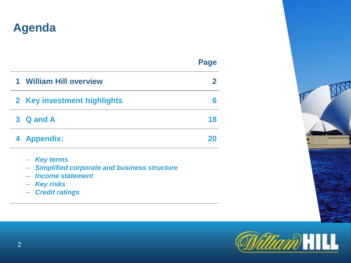### **Agenda**

**Page**

| $\mathbf 1$ | <b>William Hill overview</b> |    |
|-------------|------------------------------|----|
|             | 2 Key investment highlights  |    |
|             | 3 Q and A                    | 18 |
|             | 4 Appendix:                  |    |

- – *Key terms*
- – *Simplified corporate and business structure*
- – *Income statement*
- – *Key risks*
- – *Credit ratings*



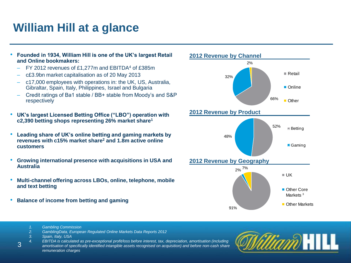### **William Hill at a glance**

- **Founded in 1934, William Hill is one of the UK's largest Retail and Online bookmakers:**
	- FY 2012 revenues of £1,277m and EBITDA<sup>4</sup> of £385m
	- c£3.9bn market capitalisation as of 20 May 2013
	- c17,000 employees with operations in: the UK, US, Australia, Gibraltar, Spain, Italy, Philippines, Israel and Bulgaria
	- Credit ratings of Ba1 stable / BB+ stable from Moody's and S&P respectively
- **UK's largest Licensed Betting Office ("LBO") operation with c2,390 betting shops representing 26% market share<sup>1</sup>**
- **Leading share of UK's online betting and gaming markets by revenues with c15% market share<sup>2</sup> and 1.8m active online customers**
- **Growing international presence with acquisitions in USA and Australia**
- **Multi-channel offering across LBOs, online, telephone, mobile and text betting**
- **Balance of income from betting and gaming**



- *1. Gambling Commission*
- *2. GamblingData, European Regulated Online Markets Data Reports 2012*
- *3. Spain, Italy, USA*

3

*4. EBITDA is calculated as pre-exceptional profit/loss before interest, tax, depreciation, amortisation (including amortisation of specifically identified intangible assets recognised on acquisition) and before non-cash share remuneration charges*

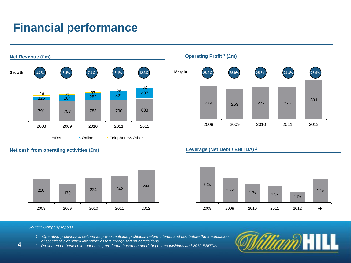### **Financial performance**



#### **Net cash from operating activities (£m) Leverage (Net Debt / EBITDA) <sup>2</sup>**



#### **Operating Profit <sup>1</sup> (£m)**





#### *Source: Company reports*

- *1. Operating profit/loss is defined as pre-exceptional profit/loss before interest and tax, before the amortisation*
- *of specifically identified intangible assets recognised on acquisitions.*

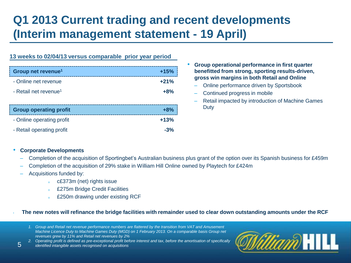### **Q1 2013 Current trading and recent developments (Interim management statement - 19 April)**

#### **13 weeks to 02/04/13 versus comparable prior year period**

| Group net revenue <sup>1</sup>    | $+15%$ |
|-----------------------------------|--------|
| - Online net revenue              | $+21%$ |
| - Retail net revenue <sup>1</sup> | $+8%$  |
|                                   |        |
| <b>Group operating profit</b>     | $+8%$  |
| - Online operating profit         | $+13%$ |
| - Retail operating profit         | $-3%$  |

- **Group operational performance in first quarter benefitted from strong, sporting results-driven, gross win margins in both Retail and Online**
	- Online performance driven by Sportsbook
	- Continued progress in mobile
	- Retail impacted by introduction of Machine Games **Duty**

#### • **Corporate Developments**

- Completion of the acquisition of Sportingbet's Australian business plus grant of the option over its Spanish business for £459m
- Completion of the acquisition of 29% stake in William Hill Online owned by Playtech for £424m
- Acquisitions funded by:

5

- <sup>o</sup> c£373m (net) rights issue
- <sup>o</sup> £275m Bridge Credit Facilities
- £250m drawing under existing RCF

#### • **The new notes will refinance the bridge facilities with remainder used to clear down outstanding amounts under the RCF**

- *1. Group and Retail net revenue performance numbers are flattered by the transition from VAT and Amusement Machine Licence Duty to Machine Games Duty (MGD) on 1 February 2013. On a comparable basis Group net revenues grew by 11% and Retail net revenues by 2%*
- *2. Operating profit is defined as pre-exceptional profit before interest and tax, before the amortisation of specifically*
- *identified intangible assets recognised on acquisitions*

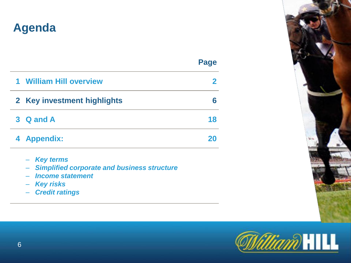### **Agenda**

| man a<br>__<br>۰,<br>×<br>$\sim$ |
|----------------------------------|
|----------------------------------|

| $\mathbf 1$ | <b>William Hill overview</b> |    |
|-------------|------------------------------|----|
|             | 2 Key investment highlights  |    |
|             | 3 Q and A                    | 18 |
|             | 4 Appendix:                  | 20 |

- – *Key terms*
- – *Simplified corporate and business structure*
- – *Income statement*
- – *Key risks*
- – *Credit ratings*



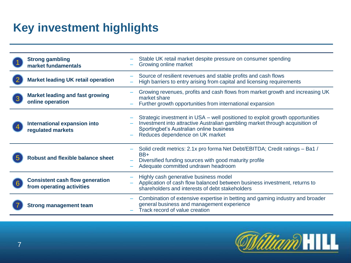### **Key investment highlights**

| <b>Strong gambling</b><br>market fundamentals                       | Stable UK retail market despite pressure on consumer spending<br>Growing online market                                                                                                                                                       |
|---------------------------------------------------------------------|----------------------------------------------------------------------------------------------------------------------------------------------------------------------------------------------------------------------------------------------|
| <b>Market leading UK retail operation</b>                           | Source of resilient revenues and stable profits and cash flows<br>High barriers to entry arising from capital and licensing requirements                                                                                                     |
| <b>Market leading and fast growing</b><br>online operation          | Growing revenues, profits and cash flows from market growth and increasing UK<br>market share<br>Further growth opportunities from international expansion                                                                                   |
| International expansion into<br>regulated markets                   | Strategic investment in USA – well positioned to exploit growth opportunities<br>Investment into attractive Australian gambling market through acquisition of<br>Sportingbet's Australian online business<br>Reduces dependence on UK market |
| <b>Robust and flexible balance sheet</b>                            | Solid credit metrics: 2.1x pro forma Net Debt/EBITDA; Credit ratings - Ba1 /<br>BB+<br>Diversified funding sources with good maturity profile<br>Adequate committed undrawn headroom                                                         |
| <b>Consistent cash flow generation</b><br>from operating activities | Highly cash generative business model<br>Application of cash flow balanced between business investment, returns to<br>shareholders and interests of debt stakeholders                                                                        |
| <b>Strong management team</b>                                       | Combination of extensive expertise in betting and gaming industry and broader<br>general business and management experience<br>Track record of value creation                                                                                |

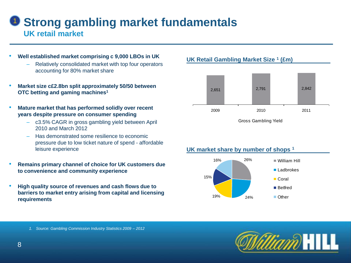### 1 **Strong gambling market fundamentals UK retail market**

- **Well established market comprising c 9,000 LBOs in UK**
	- Relatively consolidated market with top four operators accounting for 80% market share
- **Market size c£2.8bn split approximately 50/50 between OTC betting and gaming machines<sup>1</sup>**
- **Mature market that has performed solidly over recent years despite pressure on consumer spending**
	- c3.5% CAGR in gross gambling yield between April 2010 and March 2012
	- Has demonstrated some resilience to economic pressure due to low ticket nature of spend - affordable leisure experience
- **Remains primary channel of choice for UK customers due to convenience and community experience**
- **High quality source of revenues and cash flows due to barriers to market entry arising from capital and licensing requirements**

#### **UK Retail Gambling Market Size <sup>1</sup> (£m)**



Gross Gambling Yield

#### **UK market share by number of shops <sup>1</sup>**





*1. Source: Gambling Commission Industry Statistics 2009 – 2012*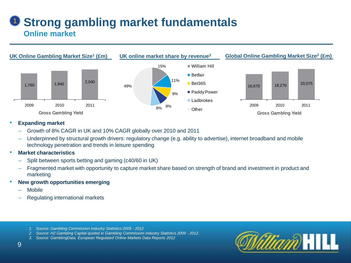### **D Strong gambling market fundamentals Online market**



#### • **Expanding market**

- Growth of 8% CAGR in UK and 10% CAGR globally over 2010 and 2011
- Underpinned by structural growth drivers: regulatory change (e.g. ability to advertise), internet broadband and mobile technology penetration and trends in leisure spending
- **Market characteristics**
	- Split between sports betting and gaming (c40/60 in UK)
	- Fragmented market with opportunity to capture market share based on strength of brand and investment in product and marketing
- **New growth opportunities emerging**
	- Mobile
	- Regulating international markets
		- *1. Source: Gambling Commission Industry Statistics 2009 - 2012*
		- *2. Source: H2 Gambling Capital quoted in Gambling Commission Industry Statistics 2009 - 2012.*
		- *3. Source: GamblingData, European Regulated Online Markets Data Reports 2012*

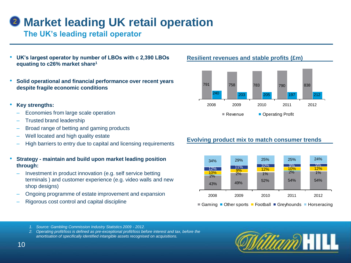### **2 Market leading UK retail operation**

### **The UK's leading retail operator**

- **UK's largest operator by number of LBOs with c 2,390 LBOs equating to c26% market share<sup>1</sup>**
- **Solid operational and financial performance over recent years despite fragile economic conditions**
- **Key strengths:**
	- Economies from large scale operation
	- Trusted brand leadership
	- Broad range of betting and gaming products
	- Well located and high quality estate
	- High barriers to entry due to capital and licensing requirements
- **Strategy - maintain and build upon market leading position through:**
	- Investment in product innovation (e.g. self service betting terminals ) and customer experience (e.g. video walls and new shop designs)
	- Ongoing programme of estate improvement and expansion
	- Rigorous cost control and capital discipline

#### **Resilient revenues and stable profits (£m)**



#### **Evolving product mix to match consumer trends**



■ Gaming ■ Other sports ■ Football ■ Greyhounds ■ Horseracing

- *1. Source: Gambling Commission Industry Statistics 2009 - 2012.*
- *2. Operating profit/loss is defined as pre-exceptional profit/loss before interest and tax, before the amortisation of specifically identified intangible assets recognised on acquisitions.*

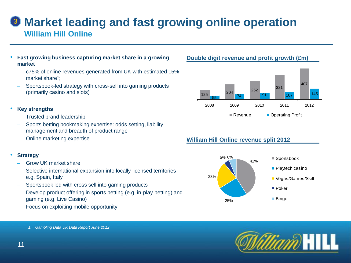### **Market leading and fast growing online operation** 3 **William Hill Online**

- **Fast growing business capturing market share in a growing market**
	- c75% of online revenues generated from UK with estimated 15% market share<sup>1</sup>;
	- Sportsbook-led strategy with cross-sell into gaming products (primarily casino and slots)

#### • **Key strengths**

- Trusted brand leadership
- Sports betting bookmaking expertise: odds setting, liability management and breadth of product range
- Online marketing expertise

#### • **Strategy**

- Grow UK market share
- Selective international expansion into locally licensed territories e.g. Spain, Italy
- Sportsbook led with cross sell into gaming products
- Develop product offering in sports betting (e.g. in-play betting) and gaming (e.g. Live Casino)
- Focus on exploiting mobile opportunity

### **Double digit revenue and profit growth (£m)**



### **William Hill Online revenue split 2012**





*1. Gambling Data UK Data Report June 2012*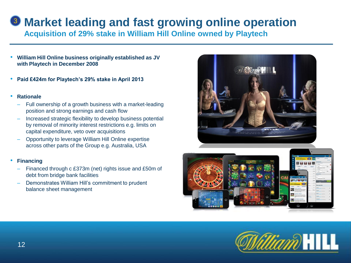### **3** Market leading and fast growing online operation

**Acquisition of 29% stake in William Hill Online owned by Playtech**

- **William Hill Online business originally established as JV with Playtech in December 2008**
- **Paid £424m for Playtech's 29% stake in April 2013**
- **Rationale**
	- Full ownership of a growth business with a market-leading position and strong earnings and cash flow
	- Increased strategic flexibility to develop business potential by removal of minority interest restrictions e.g. limits on capital expenditure, veto over acquisitions
	- Opportunity to leverage William Hill Online expertise across other parts of the Group e.g. Australia, USA
- **Financing**
	- Financed through c £373m (net) rights issue and £50m of debt from bridge bank facilities
	- Demonstrates William Hill's commitment to prudent balance sheet management





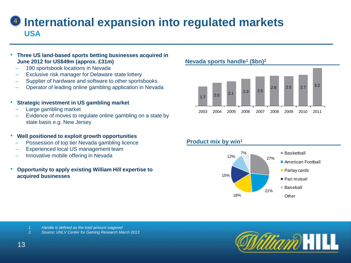### *I* International expansion into regulated markets **USA**

#### • **Three US land-based sports betting businesses acquired in June 2012 for US\$49m (approx. £31m)**

- 190 sportsbook locations in Nevada
- Exclusive risk manager for Delaware state lottery
- Supplier of hardware and software to other sportsbooks
- Operator of leading online gambling application in Nevada

#### • **Strategic investment in US gambling market**

- Large gambling market
- Evidence of moves to regulate online gambling on a state by state basis e.g. New Jersey

#### • **Well positioned to exploit growth opportunities**

- Possession of top tier Nevada gambling licence
- Experienced local US management team
- Innovative mobile offering in Nevada
- **Opportunity to apply existing William Hill expertise to acquired businesses**

#### **Nevada sports handle<sup>1</sup> (\$bn)<sup>2</sup>**



#### **Product mix by win<sup>1</sup>**



- *1. Handle is defined as the total amount wagered*
- *2. Source: UNLV Center for Gaming Research March 2013*



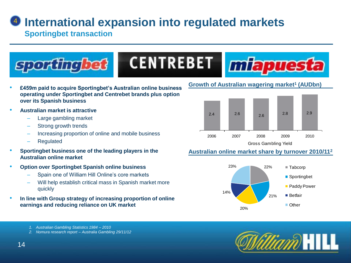### *I* International expansion into regulated markets

**Sportingbet transaction**



- **£459m paid to acquire Sportingbet's Australian online business operating under Sportingbet and Centrebet brands plus option over its Spanish business**
- **Australian market is attractive**
	- Large gambling market
	- Strong growth trends
	- Increasing proportion of online and mobile business
	- Regulated
- **Sportingbet business one of the leading players in the Australian online market**
- **Option over Sportingbet Spanish online business**
	- Spain one of William Hill Online's core markets
	- Will help establish critical mass in Spanish market more quickly
- **In line with Group strategy of increasing proportion of online earnings and reducing reliance on UK market**

#### **Growth of Australian wagering market<sup>1</sup> (AUDbn)**



### **Australian online market share by turnover 2010/11<sup>2</sup>**





- *1. Australian Gambling Statistics 1984 – 2010*
- *2. Nomura research report – Australia Gambling 29/11/12*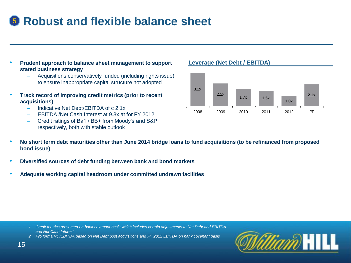### **5** Robust and flexible balance sheet

- **Prudent approach to balance sheet management to support stated business strategy**
	- Acquisitions conservatively funded (including rights issue) to ensure inappropriate capital structure not adopted
- **Track record of improving credit metrics (prior to recent acquisitions)**
	- Indicative Net Debt/EBITDA of c 2.1x
	- EBITDA /Net Cash Interest at 9.3x at for FY 2012
	- Credit ratings of Ba1 / BB+ from Moody's and S&P respectively, both with stable outlook

**Leverage (Net Debt / EBITDA)**



- **No short term debt maturities other than June 2014 bridge loans to fund acquisitions (to be refinanced from proposed bond issue)**
- **Diversified sources of debt funding between bank and bond markets**
- **Adequate working capital headroom under committed undrawn facilities**

- *1. Credit metrics presented on bank covenant basis which includes certain adjustments to Net Debt and EBITDA and Net Cash Interest*
- *2. Pro forma ND/EBITDA based on Net Debt post acquisitions and FY 2012 EBITDA on bank covenant basis*

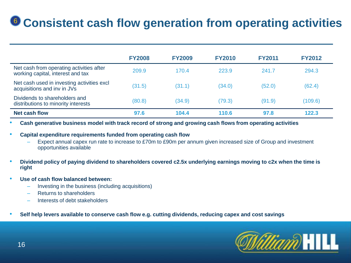## **<sup>6</sup>** Consistent cash flow generation from operating activities

|                                                                               | <b>FY2008</b> | <b>FY2009</b> | <b>FY2010</b> | <b>FY2011</b> | <b>FY2012</b> |
|-------------------------------------------------------------------------------|---------------|---------------|---------------|---------------|---------------|
| Net cash from operating activities after<br>working capital, interest and tax | 209.9         | 170.4         | 223.9         | 241.7         | 294.3         |
| Net cash used in investing activities excl<br>acquisitions and inv in JVs     | (31.5)        | (31.1)        | (34.0)        | (52.0)        | (62.4)        |
| Dividends to shareholders and<br>distributions to minority interests          | (80.8)        | (34.9)        | (79.3)        | (91.9)        | (109.6)       |
| <b>Net cash flow</b>                                                          | 97.6          | 104.4         | 110.6         | 97.8          | 122.3         |

• **Cash generative business model with track record of strong and growing cash flows from operating activities**

• **Capital expenditure requirements funded from operating cash flow**

- Expect annual capex run rate to increase to £70m to £90m per annum given increased size of Group and investment opportunities available
- **Dividend policy of paying dividend to shareholders covered c2.5x underlying earnings moving to c2x when the time is right**
- **Use of cash flow balanced between:**
	- Investing in the business (including acquisitions)
	- Returns to shareholders
	- Interests of debt stakeholders
- **Self help levers available to conserve cash flow e.g. cutting dividends, reducing capex and cost savings**

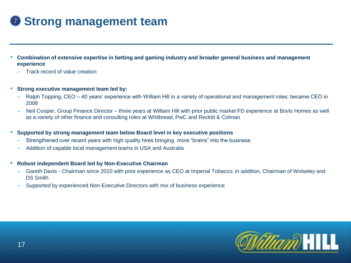## <sup>7</sup> **Strong management team**

- **Combination of extensive expertise in betting and gaming industry and broader general business and management experience** 
	- Track record of value creation
- **Strong executive management team led by:**
	- Ralph Topping, CEO 40 years' experience with William Hill in a variety of operational and management roles; became CEO in 2008
	- Neil Cooper, Group Finance Director three years at William Hill with prior public market FD experience at Bovis Homes as well as a variety of other finance and consulting roles at Whitbread, PwC and Reckitt & Colman
- **Supported by strong management team below Board level in key executive positions**
	- Strengthened over recent years with high quality hires bringing more "brains" into the business
	- Addition of capable local management teams in USA and Australia
- **Robust independent Board led by Non-Executive Chairman**
	- Gareth Davis Chairman since 2010 with prior experience as CEO at Imperial Tobacco; in addition, Chairman of Wolseley and DS Smith
	- Supported by experienced Non-Executive Directors with mix of business experience

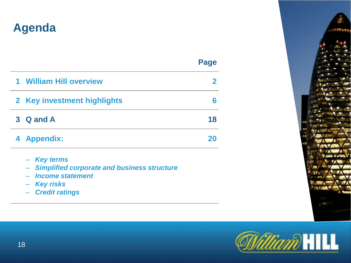### **Agenda**

| ٠<br>۰, |
|---------|
|---------|

| 1 William Hill overview     |    |
|-----------------------------|----|
| 2 Key investment highlights |    |
| 3 Q and A                   | 18 |
| 4 Appendix:                 | 20 |
|                             |    |

- – *Key terms*
- – *Simplified corporate and business structure*
- – *Income statement*
- – *Key risks*
- – *Credit ratings*



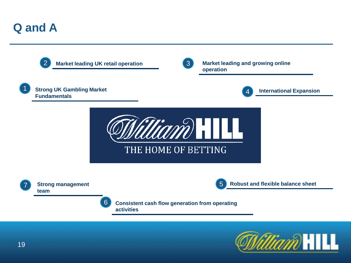### **Q and A**



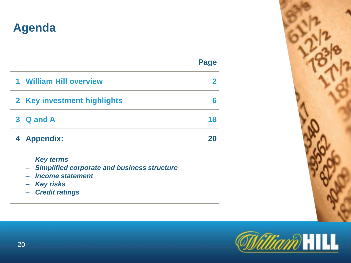### **Agenda**

| man a<br>__<br>v |
|------------------|
|------------------|

| $\mathbf 1$ | <b>William Hill overview</b> |    |
|-------------|------------------------------|----|
|             | 2 Key investment highlights  |    |
|             | 3 Q and A                    | 18 |
|             | 4 Appendix:                  | 20 |

- – *Key terms*
- – *Simplified corporate and business structure*
- – *Income statement*
- – *Key risks*
- – *Credit ratings*



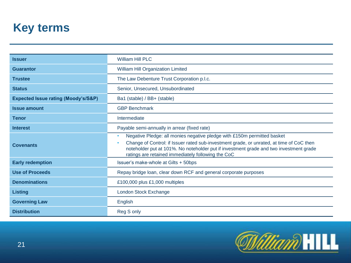### **Key terms**

| <b>Issuer</b>                                  | <b>William Hill PLC</b>                                                                                                                                                                                                                                                                                             |  |  |  |
|------------------------------------------------|---------------------------------------------------------------------------------------------------------------------------------------------------------------------------------------------------------------------------------------------------------------------------------------------------------------------|--|--|--|
| <b>Guarantor</b>                               | <b>William Hill Organization Limited</b>                                                                                                                                                                                                                                                                            |  |  |  |
| <b>Trustee</b>                                 | The Law Debenture Trust Corporation p.l.c.                                                                                                                                                                                                                                                                          |  |  |  |
| <b>Status</b>                                  | Senior, Unsecured, Unsubordinated                                                                                                                                                                                                                                                                                   |  |  |  |
| <b>Expected Issue rating (Moody's/S&amp;P)</b> | Ba1 (stable) / BB+ (stable)                                                                                                                                                                                                                                                                                         |  |  |  |
| <b>Issue amount</b>                            | <b>GBP Benchmark</b>                                                                                                                                                                                                                                                                                                |  |  |  |
| <b>Tenor</b>                                   | Intermediate                                                                                                                                                                                                                                                                                                        |  |  |  |
| <b>Interest</b>                                | Payable semi-annually in arrear (fixed rate)                                                                                                                                                                                                                                                                        |  |  |  |
| <b>Covenants</b>                               | Negative Pledge: all monies negative pledge with £150m permitted basket<br>Change of Control: if Issuer rated sub-investment grade, or unrated, at time of CoC then<br>noteholder put at 101%. No noteholder put if investment grade and two investment grade<br>ratings are retained immediately following the CoC |  |  |  |
| <b>Early redemption</b>                        | Issuer's make-whole at Gilts + 50bps                                                                                                                                                                                                                                                                                |  |  |  |
| <b>Use of Proceeds</b>                         | Repay bridge loan, clear down RCF and general corporate purposes                                                                                                                                                                                                                                                    |  |  |  |
| <b>Denominations</b>                           | £100,000 plus £1,000 multiples                                                                                                                                                                                                                                                                                      |  |  |  |
| <b>Listing</b>                                 | London Stock Exchange                                                                                                                                                                                                                                                                                               |  |  |  |
| <b>Governing Law</b>                           | English                                                                                                                                                                                                                                                                                                             |  |  |  |
| <b>Distribution</b>                            | Reg S only                                                                                                                                                                                                                                                                                                          |  |  |  |

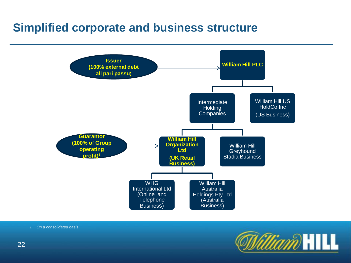### **Simplified corporate and business structure**



*1. On a consolidated basis*

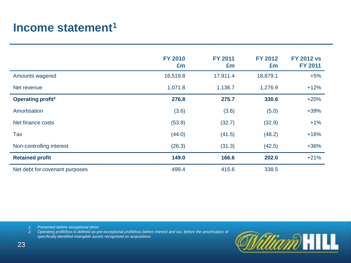### **Income statement<sup>1</sup>**

|                                | <b>FY 2010</b><br>£m | <b>FY 2011</b><br>£m | <b>FY 2012</b><br>£m | <b>FY 2012 vs</b><br><b>FY 2011</b> |
|--------------------------------|----------------------|----------------------|----------------------|-------------------------------------|
| Amounts wagered                | 16,519.8             | 17,911.4             | 18,879.1             | $+5%$                               |
| Net revenue                    | 1,071.8              | 1,136.7              | 1,276.9              | $+12%$                              |
| Operating profit <sup>2</sup>  | 276.8                | 275.7                | 330.6                | $+20%$                              |
| Amortisation                   | (3.6)                | (3.6)                | (5.0)                | $+39%$                              |
| Net finance costs              | (53.9)               | (32.7)               | (32.9)               | $+1%$                               |
| <b>Tax</b>                     | (44.0)               | (41.5)               | (48.2)               | $+16%$                              |
| Non-controlling interest       | (26.3)               | (31.3)               | (42.5)               | $+36%$                              |
| <b>Retained profit</b>         | 149.0                | 166.6                | 202.0                | $+21%$                              |
| Net debt for covenant purposes | 499.4                | 415.6                | 338.5                |                                     |

*1. Presented before exceptional items* 

*2. Operating profit/loss is defined as pre-exceptional profit/loss before interest and tax, before the amortisation of specifically identified intangible assets recognised on acquisitions*

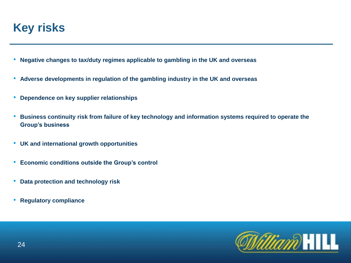### **Key risks**

- **Negative changes to tax/duty regimes applicable to gambling in the UK and overseas**
- **Adverse developments in regulation of the gambling industry in the UK and overseas**
- **Dependence on key supplier relationships**
- **Business continuity risk from failure of key technology and information systems required to operate the Group's business**
- **UK and international growth opportunities**
- **Economic conditions outside the Group's control**
- **Data protection and technology risk**
- **Regulatory compliance**